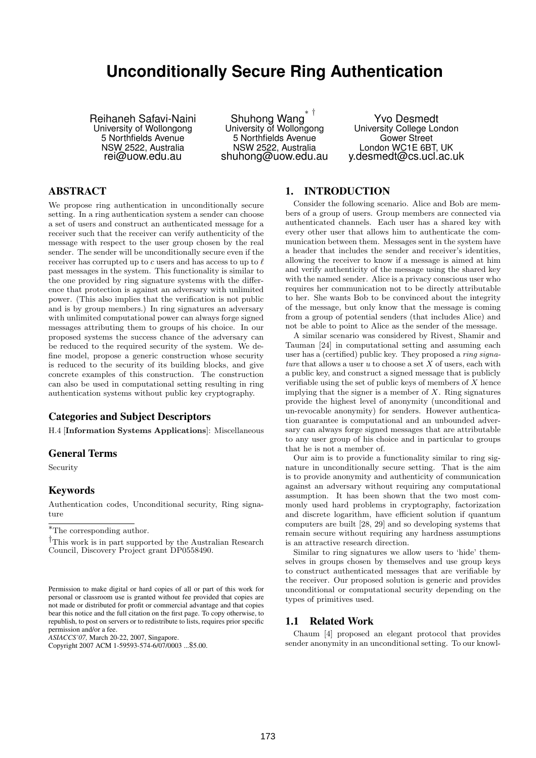# **Unconditionally Secure Ring Authentication**

Reihaneh Safavi-Naini University of Wollongong 5 Northfields Avenue NSW 2522, Australia rei@uow.edu.au

Shuhong Wang ∗ † University of Wollongong 5 Northfields Avenue NSW 2522, Australia shuhong@uow.edu.au

Yvo Desmedt University College London Gower Street London WC1E 6BT, UK y.desmedt@cs.ucl.ac.uk

# ABSTRACT

We propose ring authentication in unconditionally secure setting. In a ring authentication system a sender can choose a set of users and construct an authenticated message for a receiver such that the receiver can verify authenticity of the message with respect to the user group chosen by the real sender. The sender will be unconditionally secure even if the receiver has corrupted up to c users and has access to up to  $\ell$ past messages in the system. This functionality is similar to the one provided by ring signature systems with the difference that protection is against an adversary with unlimited power. (This also implies that the verification is not public and is by group members.) In ring signatures an adversary with unlimited computational power can always forge signed messages attributing them to groups of his choice. In our proposed systems the success chance of the adversary can be reduced to the required security of the system. We define model, propose a generic construction whose security is reduced to the security of its building blocks, and give concrete examples of this construction. The construction can also be used in computational setting resulting in ring authentication systems without public key cryptography.

## Categories and Subject Descriptors

H.4 [Information Systems Applications]: Miscellaneous

## General Terms

Security

## Keywords

Authentication codes, Unconditional security, Ring signature

*ASIACCS'07,* March 20-22, 2007, Singapore.

## 1. INTRODUCTION

Consider the following scenario. Alice and Bob are members of a group of users. Group members are connected via authenticated channels. Each user has a shared key with every other user that allows him to authenticate the communication between them. Messages sent in the system have a header that includes the sender and receiver's identities, allowing the receiver to know if a message is aimed at him and verify authenticity of the message using the shared key with the named sender. Alice is a privacy conscious user who requires her communication not to be directly attributable to her. She wants Bob to be convinced about the integrity of the message, but only know that the message is coming from a group of potential senders (that includes Alice) and not be able to point to Alice as the sender of the message.

A similar scenario was considered by Rivest, Shamir and Tauman [24] in computational setting and assuming each user has a (certified) public key. They proposed a *ring signa*ture that allows a user  $u$  to choose a set  $X$  of users, each with a public key, and construct a signed message that is publicly verifiable using the set of public keys of members of  $X$  hence implying that the signer is a member of  $X$ . Ring signatures provide the highest level of anonymity (unconditional and un-revocable anonymity) for senders. However authentication guarantee is computational and an unbounded adversary can always forge signed messages that are attributable to any user group of his choice and in particular to groups that he is not a member of.

Our aim is to provide a functionality similar to ring signature in unconditionally secure setting. That is the aim is to provide anonymity and authenticity of communication against an adversary without requiring any computational assumption. It has been shown that the two most commonly used hard problems in cryptography, factorization and discrete logarithm, have efficient solution if quantum computers are built [28, 29] and so developing systems that remain secure without requiring any hardness assumptions is an attractive research direction.

Similar to ring signatures we allow users to 'hide' themselves in groups chosen by themselves and use group keys to construct authenticated messages that are verifiable by the receiver. Our proposed solution is generic and provides unconditional or computational security depending on the types of primitives used.

## 1.1 Related Work

Chaum [4] proposed an elegant protocol that provides sender anonymity in an unconditional setting. To our knowl-

<sup>∗</sup>The corresponding author.

<sup>†</sup>This work is in part supported by the Australian Research Council, Discovery Project grant DP0558490.

Permission to make digital or hard copies of all or part of this work for personal or classroom use is granted without fee provided that copies are not made or distributed for profit or commercial advantage and that copies bear this notice and the full citation on the first page. To copy otherwise, to republish, to post on servers or to redistribute to lists, requires prior specific permission and/or a fee.

Copyright 2007 ACM 1-59593-574-6/07/0003 ...\$5.00.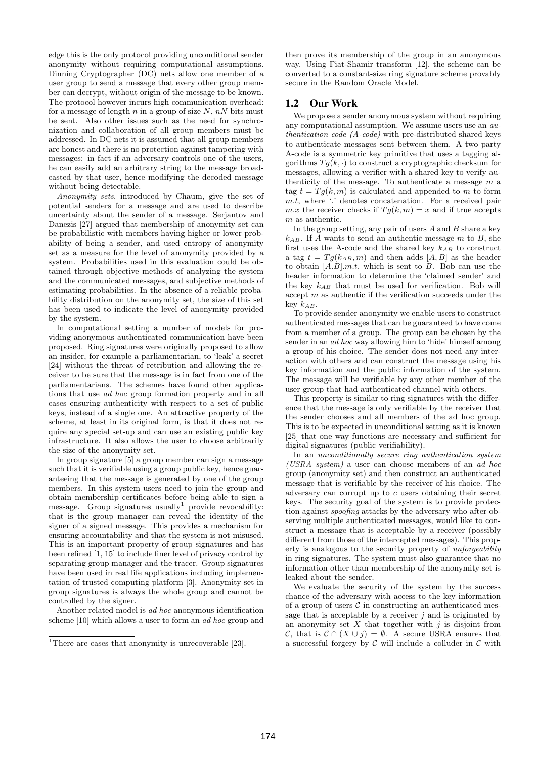edge this is the only protocol providing unconditional sender anonymity without requiring computational assumptions. Dinning Cryptographer (DC) nets allow one member of a user group to send a message that every other group member can decrypt, without origin of the message to be known. The protocol however incurs high communication overhead: for a message of length n in a group of size  $N$ ,  $nN$  bits must be sent. Also other issues such as the need for synchronization and collaboration of all group members must be addressed. In DC nets it is assumed that all group members are honest and there is no protection against tampering with messages: in fact if an adversary controls one of the users, he can easily add an arbitrary string to the message broadcasted by that user, hence modifying the decoded message without being detectable.

Anonymity sets, introduced by Chaum, give the set of potential senders for a message and are used to describe uncertainty about the sender of a message. Serjantov and Danezis [27] argued that membership of anonymity set can be probabilistic with members having higher or lower probability of being a sender, and used entropy of anonymity set as a measure for the level of anonymity provided by a system. Probabilities used in this evaluation could be obtained through objective methods of analyzing the system and the communicated messages, and subjective methods of estimating probabilities. In the absence of a reliable probability distribution on the anonymity set, the size of this set has been used to indicate the level of anonymity provided by the system.

In computational setting a number of models for providing anonymous authenticated communication have been proposed. Ring signatures were originally proposed to allow an insider, for example a parliamentarian, to 'leak' a secret [24] without the threat of retribution and allowing the receiver to be sure that the message is in fact from one of the parliamentarians. The schemes have found other applications that use ad hoc group formation property and in all cases ensuring authenticity with respect to a set of public keys, instead of a single one. An attractive property of the scheme, at least in its original form, is that it does not require any special set-up and can use an existing public key infrastructure. It also allows the user to choose arbitrarily the size of the anonymity set.

In group signature [5] a group member can sign a message such that it is verifiable using a group public key, hence guaranteeing that the message is generated by one of the group members. In this system users need to join the group and obtain membership certificates before being able to sign a message. Group signatures usually<sup>1</sup> provide revocability: that is the group manager can reveal the identity of the signer of a signed message. This provides a mechanism for ensuring accountability and that the system is not misused. This is an important property of group signatures and has been refined [1, 15] to include finer level of privacy control by separating group manager and the tracer. Group signatures have been used in real life applications including implementation of trusted computing platform [3]. Anonymity set in group signatures is always the whole group and cannot be controlled by the signer.

Another related model is ad hoc anonymous identification scheme [10] which allows a user to form an ad hoc group and

then prove its membership of the group in an anonymous way. Using Fiat-Shamir transform [12], the scheme can be converted to a constant-size ring signature scheme provably secure in the Random Oracle Model.

## 1.2 Our Work

We propose a sender anonymous system without requiring any computational assumption. We assume users use an authentication code (A-code) with pre-distributed shared keys to authenticate messages sent between them. A two party A-code is a symmetric key primitive that uses a tagging algorithms  $Tg(k, \cdot)$  to construct a cryptographic checksum for messages, allowing a verifier with a shared key to verify authenticity of the message. To authenticate a message  $m$  a tag  $t = Tg(k, m)$  is calculated and appended to m to form m.t, where '.' denotes concatenation. For a received pair m.x the receiver checks if  $Tg(k, m) = x$  and if true accepts m as authentic.

In the group setting, any pair of users  $A$  and  $B$  share a key  $k_{AB}$ . If A wants to send an authentic message m to B, she first uses the A-code and the shared key  $k_{AB}$  to construct a tag  $t = Tg(k_{AB}, m)$  and then adds  $[A, B]$  as the header to obtain  $[A.B] \ldots m.t$ , which is sent to B. Bob can use the header information to determine the 'claimed sender' and the key  $k_{AB}$  that must be used for verification. Bob will accept  $m$  as authentic if the verification succeeds under the key  $k_{AB}$ .

To provide sender anonymity we enable users to construct authenticated messages that can be guaranteed to have come from a member of a group. The group can be chosen by the sender in an ad hoc way allowing him to 'hide' himself among a group of his choice. The sender does not need any interaction with others and can construct the message using his key information and the public information of the system. The message will be verifiable by any other member of the user group that had authenticated channel with others.

This property is similar to ring signatures with the difference that the message is only verifiable by the receiver that the sender chooses and all members of the ad hoc group. This is to be expected in unconditional setting as it is known [25] that one way functions are necessary and sufficient for digital signatures (public verifiability).

In an unconditionally secure ring authentication system (USRA system) a user can choose members of an ad hoc group (anonymity set) and then construct an authenticated message that is verifiable by the receiver of his choice. The adversary can corrupt up to c users obtaining their secret keys. The security goal of the system is to provide protection against spoofing attacks by the adversary who after observing multiple authenticated messages, would like to construct a message that is acceptable by a receiver (possibly different from those of the intercepted messages). This property is analogous to the security property of unforgeability in ring signatures. The system must also guarantee that no information other than membership of the anonymity set is leaked about the sender.

We evaluate the security of the system by the success chance of the adversary with access to the key information of a group of users  $\mathcal C$  in constructing an authenticated message that is acceptable by a receiver  $j$  and is originated by an anonymity set  $X$  that together with  $j$  is disjoint from C, that is  $C \cap (X \cup j) = \emptyset$ . A secure USRA ensures that a successful forgery by  $C$  will include a colluder in  $C$  with

<sup>&</sup>lt;sup>1</sup>There are cases that anonymity is unrecoverable  $[23]$ .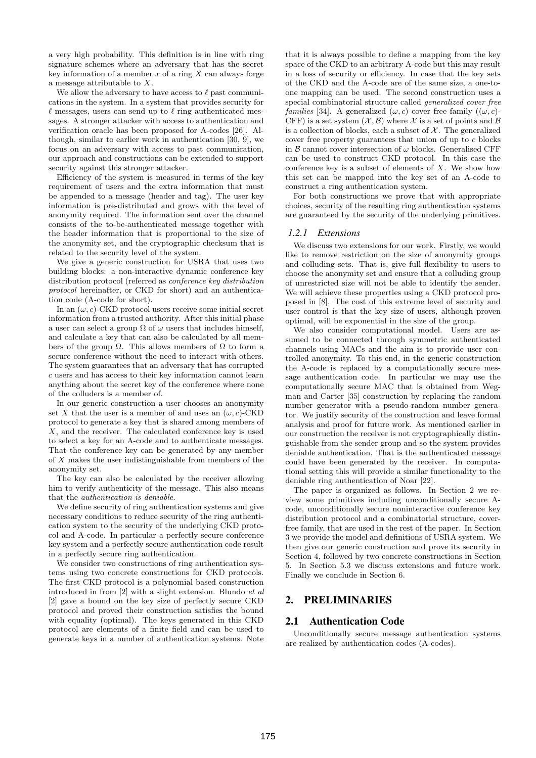a very high probability. This definition is in line with ring signature schemes where an adversary that has the secret key information of a member  $x$  of a ring  $X$  can always forge a message attributable to X.

We allow the adversary to have access to  $\ell$  past communications in the system. In a system that provides security for  $\ell$  messages, users can send up to  $\ell$  ring authenticated messages. A stronger attacker with access to authentication and verification oracle has been proposed for A-codes [26]. Although, similar to earlier work in authentication [30, 9], we focus on an adversary with access to past communication, our approach and constructions can be extended to support security against this stronger attacker.

Efficiency of the system is measured in terms of the key requirement of users and the extra information that must be appended to a message (header and tag). The user key information is pre-distributed and grows with the level of anonymity required. The information sent over the channel consists of the to-be-authenticated message together with the header information that is proportional to the size of the anonymity set, and the cryptographic checksum that is related to the security level of the system.

We give a generic construction for USRA that uses two building blocks: a non-interactive dynamic conference key distribution protocol (referred as conference key distribution protocol hereinafter, or CKD for short) and an authentication code (A-code for short).

In an  $(\omega, c)$ -CKD protocol users receive some initial secret information from a trusted authority. After this initial phase a user can select a group  $\Omega$  of  $\omega$  users that includes himself, and calculate a key that can also be calculated by all members of the group  $\Omega$ . This allows members of  $\Omega$  to form a secure conference without the need to interact with others. The system guarantees that an adversary that has corrupted c users and has access to their key information cannot learn anything about the secret key of the conference where none of the colluders is a member of.

In our generic construction a user chooses an anonymity set X that the user is a member of and uses an  $(\omega, c)$ -CKD protocol to generate a key that is shared among members of X, and the receiver. The calculated conference key is used to select a key for an A-code and to authenticate messages. That the conference key can be generated by any member of X makes the user indistinguishable from members of the anonymity set.

The key can also be calculated by the receiver allowing him to verify authenticity of the message. This also means that the authentication is deniable.

We define security of ring authentication systems and give necessary conditions to reduce security of the ring authentication system to the security of the underlying CKD protocol and A-code. In particular a perfectly secure conference key system and a perfectly secure authentication code result in a perfectly secure ring authentication.

We consider two constructions of ring authentication systems using two concrete constructions for CKD protocols. The first CKD protocol is a polynomial based construction introduced in from  $[2]$  with a slight extension. Blundo  $et$   $al$ [2] gave a bound on the key size of perfectly secure CKD protocol and proved their construction satisfies the bound with equality (optimal). The keys generated in this CKD protocol are elements of a finite field and can be used to generate keys in a number of authentication systems. Note

that it is always possible to define a mapping from the key space of the CKD to an arbitrary A-code but this may result in a loss of security or efficiency. In case that the key sets of the CKD and the A-code are of the same size, a one-toone mapping can be used. The second construction uses a special combinatorial structure called generalized cover free families [34]. A generalized  $(\omega, c)$  cover free family  $((\omega, c)$ -CFF) is a set system  $(X, \mathcal{B})$  where X is a set of points and B is a collection of blocks, each a subset of  $X$ . The generalized cover free property guarantees that union of up to  $c$  blocks in  $\beta$  cannot cover intersection of  $\omega$  blocks. Generalised CFF can be used to construct CKD protocol. In this case the conference key is a subset of elements of  $X$ . We show how this set can be mapped into the key set of an A-code to construct a ring authentication system.

For both constructions we prove that with appropriate choices, security of the resulting ring authentication systems are guaranteed by the security of the underlying primitives.

## *1.2.1 Extensions*

We discuss two extensions for our work. Firstly, we would like to remove restriction on the size of anonymity groups and colluding sets. That is, give full flexibility to users to choose the anonymity set and ensure that a colluding group of unrestricted size will not be able to identify the sender. We will achieve these properties using a CKD protocol proposed in [8]. The cost of this extreme level of security and user control is that the key size of users, although proven optimal, will be exponential in the size of the group.

We also consider computational model. Users are assumed to be connected through symmetric authenticated channels using MACs and the aim is to provide user controlled anonymity. To this end, in the generic construction the A-code is replaced by a computationally secure message authentication code. In particular we may use the computationally secure MAC that is obtained from Wegman and Carter [35] construction by replacing the random number generator with a pseudo-random number generator. We justify security of the construction and leave formal analysis and proof for future work. As mentioned earlier in our construction the receiver is not cryptographically distinguishable from the sender group and so the system provides deniable authentication. That is the authenticated message could have been generated by the receiver. In computational setting this will provide a similar functionality to the deniable ring authentication of Noar [22].

The paper is organized as follows. In Section 2 we review some primitives including unconditionally secure Acode, unconditionally secure noninteractive conference key distribution protocol and a combinatorial structure, coverfree family, that are used in the rest of the paper. In Section 3 we provide the model and definitions of USRA system. We then give our generic construction and prove its security in Section 4, followed by two concrete constructions in Section 5. In Section 5.3 we discuss extensions and future work. Finally we conclude in Section 6.

## 2. PRELIMINARIES

## 2.1 Authentication Code

Unconditionally secure message authentication systems are realized by authentication codes (A-codes).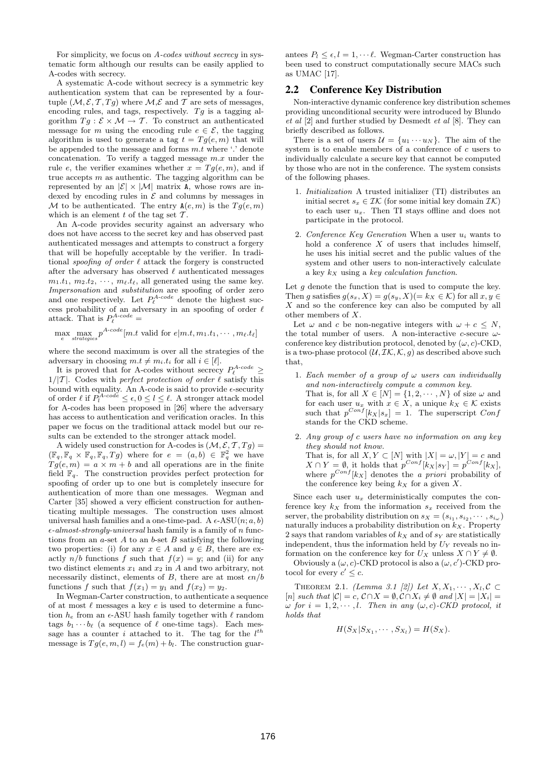For simplicity, we focus on A-codes without secrecy in systematic form although our results can be easily applied to A-codes with secrecy.

A systematic A-code without secrecy is a symmetric key authentication system that can be represented by a fourtuple  $(M, \mathcal{E}, T, Tg)$  where  $M, \mathcal{E}$  and T are sets of messages, encoding rules, and tags, respectively.  $Tg$  is a tagging algorithm  $Tg : \mathcal{E} \times \mathcal{M} \rightarrow \mathcal{T}$ . To construct an authenticated message for m using the encoding rule  $e \in \mathcal{E}$ , the tagging algorithm is used to generate a tag  $t = Tg(e, m)$  that will be appended to the message and forms  $m.t$  where  $\cdot$  denote concatenation. To verify a tagged message  $m.x$  under the rule e, the verifier examines whether  $x = Tg(e, m)$ , and if true accepts  $m$  as authentic. The tagging algorithm can be represented by an  $|\mathcal{E}| \times |\mathcal{M}|$  matrix A, whose rows are indexed by encoding rules in  $\mathcal E$  and columns by messages in M to be authenticated. The entry  $A(e, m)$  is the  $Tg(e, m)$ which is an element t of the tag set  $\mathcal{T}$ .

An A-code provides security against an adversary who does not have access to the secret key and has observed past authenticated messages and attempts to construct a forgery that will be hopefully acceptable by the verifier. In traditional spoofing of order  $\ell$  attack the forgery is constructed after the adversary has observed  $\ell$  authenticated messages  $m_1.t_1, m_2.t_2, \cdots, m_\ell.t_\ell$ , all generated using the same key. Impersonation and substitution are spoofing of order zero and one respectively. Let  $P_{\ell}^{A\text{-code}}$  denote the highest success probability of an adversary in an spoofing of order  $\ell$ attack. That is  $P_{\ell}^{A\text{-code}} =$ 

 $\max_{e} \max_{strategies} p^{A-code}[m.t \text{ valid for } e | m.t, m_1.t_1, \cdots, m_\ell.t_\ell]$ 

where the second maximum is over all the strategies of the adversary in choosing  $m.t \neq m_i.t_i$  for all  $i \in [\ell].$ 

It is proved that for A-codes without secrecy  $P_{\ell}^{A\text{-code}} \geq$  $1/|T|$ . Codes with *perfect protection of order*  $\ell$  satisfy this bound with equality. An A-code is said to provide  $\epsilon$ -security of order  $\ell$  if  $P_l^{A\text{-code}} \leq \epsilon, 0 \leq l \leq \ell$ . A stronger attack model for A-codes has been proposed in [26] where the adversary has access to authentication and verification oracles. In this paper we focus on the traditional attack model but our results can be extended to the stronger attack model.

A widely used construction for A-codes is  $(\mathcal{M}, \mathcal{E}, \mathcal{T}, Tg) =$  $(\mathbb{F}_q, \mathbb{F}_q \times \mathbb{F}_q, \mathbb{F}_q, T_g)$  where for  $e = (a, b) \in \mathbb{F}_q^2$  we have  $Tg(e, m) = a \times m + b$  and all operations are in the finite field  $\mathbb{F}_q$ . The construction provides perfect protection for spoofing of order up to one but is completely insecure for authentication of more than one messages. Wegman and Carter [35] showed a very efficient construction for authenticating multiple messages. The construction uses almost universal hash families and a one-time-pad. A  $\epsilon$ -ASU(n; a, b)  $\epsilon$ -almost-strongly-universal hash family is a family of n functions from an a-set  $A$  to an b-set  $B$  satisfying the following two properties: (i) for any  $x \in A$  and  $y \in B$ , there are exactly  $n/b$  functions f such that  $f(x) = y$ ; and (ii) for any two distinct elements  $x_1$  and  $x_2$  in A and two arbitrary, not necessarily distinct, elements of B, there are at most  $\epsilon n/b$ functions f such that  $f(x_1) = y_1$  and  $f(x_2) = y_2$ .

In Wegman-Carter construction, to authenticate a sequence of at most  $\ell$  messages a key e is used to determine a function  $h_e$  from an  $\epsilon$ -ASU hash family together with  $\ell$  random tags  $b_1 \cdots b_\ell$  (a sequence of  $\ell$  one-time tags). Each message has a counter i attached to it. The tag for the  $l^{th}$ message is  $Tg(e, m, l) = f_e(m) + b_l$ . The construction guarantees  $P_l \leq \epsilon, l = 1, \cdots l$ . Wegman-Carter construction has been used to construct computationally secure MACs such as UMAC [17].

## 2.2 Conference Key Distribution

Non-interactive dynamic conference key distribution schemes providing unconditional security were introduced by Blundo et al [2] and further studied by Desmedt et al [8]. They can briefly described as follows.

There is a set of users  $\mathcal{U} = \{u_1 \cdots u_N\}$ . The aim of the system is to enable members of a conference of c users to individually calculate a secure key that cannot be computed by those who are not in the conference. The system consists of the following phases.

- 1. Initialization A trusted initializer (TI) distributes an initial secret  $s_x \in \mathcal{IK}$  (for some initial key domain  $\mathcal{IK}$ ) to each user  $u_x$ . Then TI stays offline and does not participate in the protocol.
- 2. Conference Key Generation When a user  $u_i$  wants to hold a conference  $X$  of users that includes himself, he uses his initial secret and the public values of the system and other users to non-interactively calculate a key  $k_X$  using a key calculation function.

Let  $g$  denote the function that is used to compute the key. Then g satisfies  $g(s_x, X) = g(s_y, X)(= k_X \in \mathcal{K})$  for all  $x, y \in$  $X$  and so the conference key can also be computed by all other members of X.

Let  $\omega$  and c be non-negative integers with  $\omega + c \leq N$ , the total number of users. A non-interactive c-secure  $\omega$ conference key distribution protocol, denoted by  $(\omega, c)$ -CKD, is a two-phase protocol  $(U, \mathcal{IK}, \mathcal{K}, g)$  as described above such that,

- 1. Each member of a group of  $\omega$  users can individually and non-interactively compute a common key. That is, for all  $X \in [N] = \{1, 2, \cdots, N\}$  of size  $\omega$  and for each user  $u_x$  with  $x \in X$ , a unique  $k_X \in \mathcal{K}$  exists such that  $p^{Conf}[k_X|s_x] = 1$ . The superscript  $Conf$ stands for the CKD scheme.
- 2. Any group of c users have no information on any key they should not know. That is, for all  $X, Y \subset [N]$  with  $|X| = \omega, |Y| = c$  and  $X \cap Y = \emptyset$ , it holds that  $p^{Conf}[k_X|s_Y] = p^{Conf}[k_X]$ , where  $p^{Conf}[kx]$  denotes the *a priori* probability of the conference key being  $k_X$  for a given X.

Since each user  $u_x$  deterministically computes the conference key  $k_X$  from the information  $s_x$  received from the server, the probability distribution on  $s_X = (s_{i_1}, s_{i_2}, \cdots, s_{i_\omega})$ naturally induces a probability distribution on  $k_X$ . Property 2 says that random variables of  $k_X$  and of  $s_Y$  are statistically independent, thus the information held by  $U_Y$  reveals no information on the conference key for  $U_X$  unless  $X \cap Y \neq \emptyset$ .

Obviously a  $(\omega, c)$ -CKD protocol is also a  $(\omega, c')$ -CKD protocol for every  $c' \leq c$ .

THEOREM 2.1. (Lemma 3.1 [2]) Let  $X, X_1, \cdots, X_l, C \subset$ [n] such that  $|\mathcal{C}| = c$ ,  $\mathcal{C} \cap X = \emptyset$ ,  $\mathcal{C} \cap X_i \neq \emptyset$  and  $|X| = |X_i|$  $\omega$  for  $i = 1, 2, \dots, l$ . Then in any  $(\omega, c)$ -CKD protocol, it holds that

$$
H(S_X|S_{X_1},\cdots,S_{X_l})=H(S_X).
$$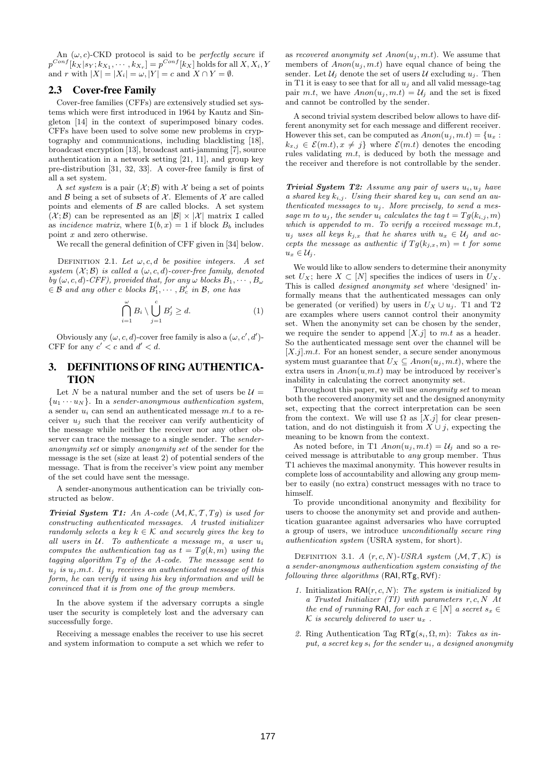An  $(\omega, c)$ -CKD protocol is said to be *perfectly secure* if  $p^{Conf}[k_X|s_Y;k_{X_1},\cdots,k_{X_r}]=p^{Conf}[k_X]$  holds for all  $X,X_i,Y$ and r with  $|X| = |X_i| = \omega, |Y| = c$  and  $X \cap Y = \emptyset$ .

## 2.3 Cover-free Family

Cover-free families (CFFs) are extensively studied set systems which were first introduced in 1964 by Kautz and Singleton [14] in the context of superimposed binary codes. CFFs have been used to solve some new problems in cryptography and communications, including blacklisting [18], broadcast encryption [13], broadcast anti-jamming [7], source authentication in a network setting [21, 11], and group key pre-distribution [31, 32, 33]. A cover-free family is first of all a set system.

A set system is a pair  $(\mathcal{X}; \mathcal{B})$  with X being a set of points and  $\beta$  being a set of subsets of  $\mathcal X$ . Elements of  $\mathcal X$  are called points and elements of  $\beta$  are called blocks. A set system  $(\mathcal{X}; \mathcal{B})$  can be represented as an  $|\mathcal{B}| \times |\mathcal{X}|$  matrix I called as incidence matrix, where  $I(b, x) = 1$  if block  $B_b$  includes point x and zero otherwise.

We recall the general definition of CFF given in [34] below.

DEFINITION 2.1. Let  $\omega$ , c, d be positive integers. A set system  $(X; B)$  is called a  $(\omega, c, d)$ -cover-free family, denoted by  $(\omega, c, d)$ -CFF), provided that, for any  $\omega$  blocks  $B_1, \cdots, B_{\omega}$  $\in \mathcal{B}$  and any other c blocks  $B'_1, \cdots, B'_c$  in  $\mathcal{B}$ , one has

$$
\bigcap_{i=1}^{\omega} B_i \setminus \bigcup_{j=1}^{c} B'_j \ge d. \tag{1}
$$

Obviously any  $(\omega, c, d)$ -cover free family is also a  $(\omega, c', d')$ -CFF for any  $c' < c$  and  $d' < d$ .

# 3. DEFINITIONS OF RING AUTHENTICA-**TION**

Let N be a natural number and the set of users be  $\mathcal{U} =$  ${u_1 \cdots u_N}$ . In a sender-anonymous authentication system, a sender  $u_i$  can send an authenticated message  $m.t$  to a receiver  $u_i$  such that the receiver can verify authenticity of the message while neither the receiver nor any other observer can trace the message to a single sender. The senderanonymity set or simply anonymity set of the sender for the message is the set (size at least 2) of potential senders of the message. That is from the receiver's view point any member of the set could have sent the message.

A sender-anonymous authentication can be trivially constructed as below.

**Trivial System T1:** An A-code  $(\mathcal{M}, \mathcal{K}, \mathcal{T}, Tg)$  is used for constructing authenticated messages. A trusted initializer randomly selects a key  $k \in \mathcal{K}$  and securely gives the key to all users in  $U$ . To authenticate a message  $m$ , a user  $u_i$ computes the authentication tag as  $t = Tg(k, m)$  using the tagging algorithm  $Tg$  of the A-code. The message sent to  $u_j$  is  $u_j$ .m.t. If  $u_j$  receives an authenticated message of this form, he can verify it using his key information and will be convinced that it is from one of the group members.

In the above system if the adversary corrupts a single user the security is completely lost and the adversary can successfully forge.

Receiving a message enables the receiver to use his secret and system information to compute a set which we refer to

as recovered anonymity set  $A non(u_i, m.t)$ . We assume that members of  $Anon(u_j, m.t)$  have equal chance of being the sender. Let  $\mathcal{U}_i$  denote the set of users  $\mathcal{U}$  excluding  $u_i$ . Then in T1 it is easy to see that for all  $u_i$  and all valid message-tag pair m.t, we have  $Anon(u_i, m.t) = U_i$  and the set is fixed and cannot be controlled by the sender.

A second trivial system described below allows to have different anonymity set for each message and different receiver. However this set, can be computed as  $Anon(u_i, m.t) = \{u_x :$  $k_{x,j} \in \mathcal{E}(m.t), x \neq j$  where  $\mathcal{E}(m.t)$  denotes the encoding rules validating m.t, is deduced by both the message and the receiver and therefore is not controllable by the sender.

**Trivial System T2:** Assume any pair of users  $u_i, u_j$  have a shared key  $k_{i,j}$ . Using their shared key  $u_i$  can send an authenticated messages to  $u_j$ . More precisely, to send a message m to  $u_i$ , the sender  $u_i$  calculates the tag  $t = Tg(k_{i,j}, m)$ which is appended to m. To verify a received message m.t,  $u_i$  uses all keys  $k_{i,x}$  that he shares with  $u_x \in \mathcal{U}_i$  and accepts the message as authentic if  $Tg(k_{j,x}, m) = t$  for some  $u_x \in \mathcal{U}_i$ .

We would like to allow senders to determine their anonymity set  $U_X$ ; here  $X \subset [N]$  specifies the indices of users in  $U_X$ . This is called *designed anonymity set* where 'designed' informally means that the authenticated messages can only be generated (or verified) by users in  $U_X \cup u_j$ . T1 and T2 are examples where users cannot control their anonymity set. When the anonymity set can be chosen by the sender, we require the sender to append  $[X,j]$  to m.t as a header. So the authenticated message sent over the channel will be  $[X,j]$ .m.t. For an honest sender, a secure sender anonymous system must guarantee that  $U_X \subseteq Ann(u_i, m.t)$ , where the extra users in  $Anon(u,m,t)$  may be introduced by receiver's inability in calculating the correct anonymity set.

Throughout this paper, we will use *anonymity set* to mean both the recovered anonymity set and the designed anonymity set, expecting that the correct interpretation can be seen from the context. We will use  $\Omega$  as  $[X.j]$  for clear presentation, and do not distinguish it from  $X \cup j$ , expecting the meaning to be known from the context.

As noted before, in T1  $Anon(u_i, m.t) = U_i$  and so a received message is attributable to any group member. Thus T1 achieves the maximal anonymity. This however results in complete loss of accountability and allowing any group member to easily (no extra) construct messages with no trace to himself.

To provide unconditional anonymity and flexibility for users to choose the anonymity set and provide and authentication guarantee against adversaries who have corrupted a group of users, we introduce unconditionally secure ring authentication system (USRA system, for short).

DEFINITION 3.1. A  $(r, c, N)$ -USRA system  $(\mathcal{M}, \mathcal{T}, \mathcal{K})$  is a sender-anonymous authentication system consisting of the following three algorithms (RAI, RTg, RVf):

- 1. Initialization RAI $(r, c, N)$ : The system is initialized by a Trusted Initializer  $(TI)$  with parameters  $r, c, N$  At the end of running RAI, for each  $x \in [N]$  a secret  $s_x \in$ K is securely delivered to user  $u_x$ .
- 2. Ring Authentication Tag  $RTg(s_i, \Omega, m)$ : Takes as input, a secret key  $s_i$  for the sender  $u_i$ , a designed anonymity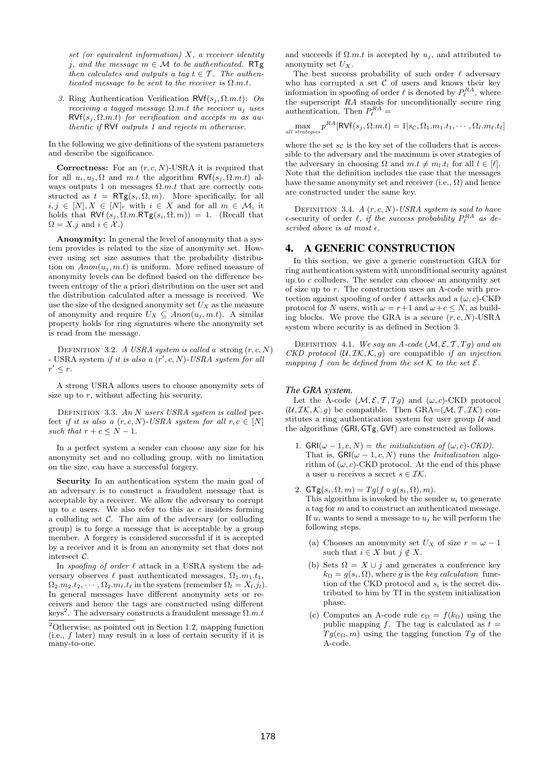set (or equivalent information)  $X$ , a receiver identity j, and the message  $m \in \mathcal{M}$  to be authenticated. RTg then calculates and outputs a tag  $t \in \mathcal{T}$ . The authenticated message to be sent to the receiver is  $\Omega.m.t.$ 

3. Ring Authentication Verification RVf( $s_j, \Omega.m.t$ ): On receiving a tagged message  $\Omega.m.t$  the receiver  $u_i$  uses  $\text{RVf}(s_j, \Omega.m.t)$  for verification and accepts m as authentic if RVf outputs 1 and rejects m otherwise.

In the following we give definitions of the system parameters and describe the significance.

**Correctness:** For an  $(r, c, N)$ -USRA it is required that for all  $u_i, u_j, \Omega$  and m.t the algorithm RVf $(s_j, \Omega.m.t)$  always outputs 1 on messages  $\Omega.m.t$  that are correctly constructed as  $t = RTg(s_i, \Omega, m)$ . More specifically, for all  $i, j \in [N], X \in [N]_r$  with  $i \in X$  and for all  $m \in \mathcal{M}$ , it holds that RVf  $(s_i, \Omega.m.\mathsf{RTg}(s_i, \Omega, m)) = 1$ . (Recall that  $\Omega = X.$ *j* and  $i \in \mathcal{X}.$ 

Anonymity: In general the level of anonymity that a system provides is related to the size of anonymity set. However using set size assumes that the probability distribution on  $Anon(u_i, m.t)$  is uniform. More refined measure of anonymity levels can be defined based on the difference between entropy of the a priori distribution on the user set and the distribution calculated after a message is received. We use the size of the designed anonymity set  $U_X$  as the measure of anonymity and require  $U_X \subseteq Anon(u_j, m.t)$ . A similar property holds for ring signatures where the anonymity set is read from the message.

DEFINITION 3.2. A USRA system is called a strong  $(r, c, N)$ - USRA system if it is also a  $(r', c, N)$ -USRA system for all  $r' \leq r$ .

A strong USRA allows users to choose anonymity sets of size up to  $r$ , without affecting his security.

DEFINITION 3.3. An N users USRA system is called perfect if it is also a  $(r, c, N)$ -USRA system for all  $r, c \in [N]$ such that  $r + c \leq N - 1$ .

In a perfect system a sender can choose any size for his anonymity set and no colluding group, with no limitation on the size, can have a successful forgery.

Security In an authentication system the main goal of an adversary is to construct a fraudulent message that is acceptable by a receiver. We allow the adversary to corrupt up to  $c$  users. We also refer to this as  $c$  insiders forming  $\alpha$  colluding set C. The aim of the adversary (or colluding group) is to forge a message that is acceptable by a group member. A forgery is considered successful if it is accepted by a receiver and it is from an anonymity set that does not intersect C.

In spoofing of order  $\ell$  attack in a USRA system the adversary observes  $\ell$  past authenticated messages,  $\Omega_1.m_1.t_1$ ,  $\Omega_2.m_2.t_2, \cdots, \Omega_2.m_\ell.t_\ell$  in the system (remember  $\Omega_l = X_l.j_l$ ). In general messages have different anonymity sets or receivers and hence the tags are constructed using different keys<sup>2</sup>. The adversary constructs a fraudulent message  $\Omega.m.t$ 

and succeeds if  $\Omega.m.t$  is accepted by  $u_i$ , and attributed to anonymity set  $U_X$ .

The best success probability of such order  $\ell$  adversary who has corrupted a set  $C$  of users and knows their key information in spoofing of order  $\ell$  is denoted by  $P_{\ell}^{RA}$ , where the superscript RA stands for unconditionally secure ring authentication. Then  $P_{\ell}^{RA} =$ 

$$
\max_{all\ strategies} p^{RA}[\mathsf{RVf}(s_j,\Omega.m.t) = 1|s_{\mathcal{C}},\Omega_1.m_1.t_1,\cdots,\Omega_\ell.m_\ell.t_\ell]
$$

where the set  $s_{\mathcal{C}}$  is the key set of the colluders that is accessible to the adversary and the maximum is over strategies of the adversary in choosing  $\Omega$  and  $m.t \neq m_l.t_l$  for all  $l \in [\ell].$ Note that the definition includes the case that the messages have the same anonymity set and receiver (i.e.,  $\Omega$ ) and hence are constructed under the same key.

DEFINITION 3.4. A  $(r, c, N)$ -USRA system is said to have  $\epsilon$ -security of order  $\ell$ , if the success probability  $P_{\ell}^{RA}$  as described above is at most  $\epsilon.$ 

## 4. A GENERIC CONSTRUCTION

In this section, we give a generic construction GRA for ring authentication system with unconditional security against up to  $c$  colluders. The sender can choose an anonymity set of size up to r. The construction uses an A-code with protection against spoofing of order  $\ell$  attacks and a  $(\omega, c)$ -CKD protocol for N users, with  $\omega = r+1$  and  $\omega+c \leq N$ , as building blocks. We prove the GRA is a secure  $(r, c, N)$ -USRA system where security is as defined in Section 3.

DEFINITION 4.1. We say an A-code  $(M, \mathcal{E}, T, Tg)$  and an CKD protocol  $(U, \mathcal{IK}, \mathcal{K}, g)$  are compatible if an injection mapping f can be defined from the set K to the set  $\mathcal{E}$ .

#### *The GRA system.*

Let the A-code  $(\mathcal{M}, \mathcal{E}, \mathcal{T}, Tg)$  and  $(\omega, c)$ -CKD protocol  $(U, \mathcal{IK}, \mathcal{K}, q)$  be compatible. Then  $\text{GRA}=(\mathcal{M}, \mathcal{T}, \mathcal{IK})$  constitutes a ring authentication system for user group  $\mathcal U$  and the algorithms (GRI, GTg, GVf) are constructed as follows.

- 1.  $GRI(\omega 1, c, N) = the initialization of (\omega, c) CKD).$ That is,  $GRI(\omega - 1, c, N)$  runs the *Initialization* algorithm of  $(\omega, c)$ -CKD protocol. At the end of this phase a user u receives a secret  $s \in \mathcal{IK}$ .
- 2.  $G \mathsf{Tg}(s_i, \Omega, m) = Tq(f \circ q(s_i, \Omega), m)$ . This algorithm is invoked by the sender  $u_i$  to generate a tag for m and to construct an authenticated message. If  $u_i$  wants to send a message to  $u_i$  he will perform the following steps.
	- (a) Chooses an anonymity set  $U_X$  of size  $r = \omega 1$ such that  $i \in X$  but  $j \notin X$ .
	- (b) Sets  $\Omega = X \cup j$  and generates a conference key  $k_{\Omega} = g(s_i, \Omega)$ , where g is the key calculation function of the CKD protocol and  $s_i$  is the secret distributed to him by TI in the system initialization phase.
	- (c) Computes an A-code rule  $e_{\Omega} = f(k_{\Omega})$  using the public mapping f. The tag is calculated as  $t =$  $Tg(e_{\Omega}, m)$  using the tagging function  $Tg$  of the A-code.

<sup>2</sup>Otherwise, as pointed out in Section 1.2, mapping function (i.e., f later) may result in a loss of certain security if it is many-to-one.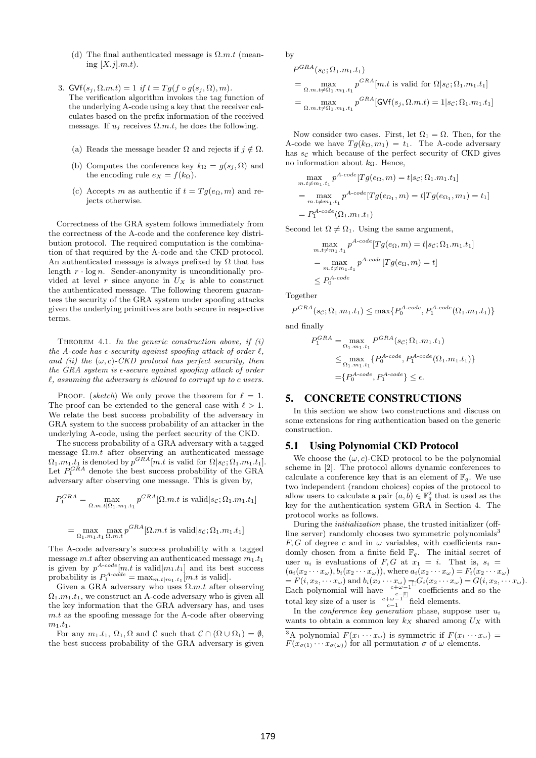- (d) The final authenticated message is  $\Omega.m.t$  (meaning  $[X.j].m.t$ .
- 3.  $\mathsf{GVf}(s_i, \Omega.m.t) = 1$  if  $t = Tq(f \circ q(s_i, \Omega), m)$ . The verification algorithm invokes the tag function of the underlying A-code using a key that the receiver calculates based on the prefix information of the received message. If  $u_i$  receives  $\Omega.m.t$ , he does the following.
	- (a) Reads the message header  $\Omega$  and rejects if  $j \notin \Omega$ .
	- (b) Computes the conference key  $k_{\Omega} = q(s_i, \Omega)$  and the encoding rule  $e_X = f(k_\Omega)$ .
	- (c) Accepts m as authentic if  $t = Tg(e_{\Omega}, m)$  and rejects otherwise.

Correctness of the GRA system follows immediately from the correctness of the A-code and the conference key distribution protocol. The required computation is the combination of that required by the A-code and the CKD protocol. An authenticated message is always prefixed by  $\Omega$  that has length  $r \cdot \log n$ . Sender-anonymity is unconditionally provided at level  $r$  since anyone in  $U_X$  is able to construct the authenticated message. The following theorem guarantees the security of the GRA system under spoofing attacks given the underlying primitives are both secure in respective terms.

THEOREM 4.1. In the generic construction above, if  $(i)$ the A-code has  $\epsilon$ -security against spoofing attack of order  $\ell$ . and (ii) the  $(\omega, c)$ -CKD protocol has perfect security, then the GRA system is  $\epsilon$ -secure against spoofing attack of order  $\ell$ , assuming the adversary is allowed to corrupt up to c users.

PROOF. (sketch) We only prove the theorem for  $\ell = 1$ . The proof can be extended to the general case with  $\ell > 1$ . We relate the best success probability of the adversary in GRA system to the success probability of an attacker in the underlying A-code, using the perfect security of the CKD.

The success probability of a GRA adversary with a tagged message  $\Omega.m.t$  after observing an authenticated message  $\Omega_1.m_1.t_1$  is denoted by  $p^{GRA}[m.t]$  is valid for  $\Omega|s_c; \Omega_1.m_1.t_1$ . Let  $P_1^{GRA}$  denote the best success probability of the GRA adversary after observing one message. This is given by,

$$
P_1^{GRA} = \max_{\Omega, m, t | \Omega_1, m_1, t_1} p^{GRA} [\Omega, m, t \text{ is valid}] s_{\mathcal{C}}; \Omega_1, m_1, t_1]
$$

$$
= \max_{\Omega_1, m_1, t_1} \max_{\Omega, m, t} p^{GRA} [\Omega.m.t \text{ is valid}] s_{\mathcal{C}}; \Omega_1.m_1.t_1]
$$

The A-code adversary's success probability with a tagged message m.t after observing an authenticated message  $m_1.t_1$ is given by  $p^{A-code}[m.t$  is valid $|m_1.t_1|$  and its best success probability is  $P_1^{A\text{-code}} = \max_{m.t | m_1.t_1} [m.t \text{ is valid}].$ 

Given a GRA adversary who uses  $\Omega.m.t$  after observing  $\Omega_1.m_1.t_1$ , we construct an A-code adversary who is given all the key information that the GRA adversary has, and uses  $m.t$  as the spoofing message for the A-code after observing  $m_1.t_1$ .

For any  $m_1.t_1, \Omega_1, \Omega$  and C such that  $\mathcal{C} \cap (\Omega \cup \Omega_1) = \emptyset$ , the best success probability of the GRA adversary is given by

$$
P^{GRA}(s_c; \Omega_1.m_1.t_1)
$$
  
= 
$$
\max_{\Omega.m.t_{\neq \Omega_1.m_1.t_1}} p^{GRA}[m.t \text{ is valid for } \Omega | s_c; \Omega_1.m_1.t_1]
$$
  
= 
$$
\max_{\Omega.m.t_{\neq \Omega_1.m_1.t_1}} p^{GRA}[GVf(s_j, \Omega.m.t) = 1 | s_c; \Omega_1.m_1.t_1]
$$

Now consider two cases. First, let  $\Omega_1 = \Omega$ . Then, for the A-code we have  $Tq(k_{\Omega}, m_1) = t_1$ . The A-code adversary has  $s_c$  which because of the perfect security of CKD gives no information about  $kΩ$ . Hence,

$$
\max_{m.t \neq m_1, t_1} p^{A-code}[Tg(e_{\Omega}, m) = t | s_{\mathcal{C}}; \Omega_1.m_1.t_1]
$$
  
= 
$$
\max_{m.t \neq m_1, t_1} p^{A-code}[Tg(e_{\Omega_1}, m) = t | Tg(e_{\Omega_1}, m_1) = t_1]
$$
  
= 
$$
P_1^{A-code}(\Omega_1.m_1.t_1)
$$

Second let  $\Omega \neq \Omega_1$ . Using the same argument,

$$
\max_{m.t \neq m_1, t_1} p^{A-code} [Tg(e_{\Omega}, m) = t | sc; \Omega_1.m_1.t_1]
$$
  
= 
$$
\max_{m.t \neq m_1, t_1} p^{A-code} [Tg(e_{\Omega}, m) = t]
$$
  

$$
\leq P_0^{A-code}
$$

Together

$$
P^{GRA}(s_{\mathcal{C}}; \Omega_1.m_1.t_1) \le \max\{P_0^{A\text{-code}}, P_1^{A\text{-code}}(\Omega_1.m_1.t_1)\}
$$

and finally

$$
P_1^{GRA} = \max_{\Omega_1, m_1, t_1} P^{GRA}(s_c; \Omega_1, m_1, t_1)
$$
  
\n
$$
\leq \max_{\Omega_1, m_1, t_1} \{ P_0^{A\text{-code}}, P_1^{A\text{-code}}(\Omega_1, m_1, t_1) \}
$$
  
\n
$$
= \{ P_0^{A\text{-code}}, P_1^{A\text{-code}} \} \leq \epsilon.
$$

## 5. CONCRETE CONSTRUCTIONS

In this section we show two constructions and discuss on some extensions for ring authentication based on the generic construction.

## 5.1 Using Polynomial CKD Protocol

We choose the  $(\omega, c)$ -CKD protocol to be the polynomial scheme in [2]. The protocol allows dynamic conferences to calculate a conference key that is an element of  $\mathbb{F}_q$ . We use two independent (random choices) copies of the protocol to allow users to calculate a pair  $(a, b) \in \mathbb{F}_q^2$  that is used as the key for the authentication system GRA in Section 4. The protocol works as follows.

During the initialization phase, the trusted initializer (offline server) randomly chooses two symmetric polynomials<sup>3</sup>  $F, G$  of degree c and in  $\omega$  variables, with coefficients randomly chosen from a finite field  $\mathbb{F}_q$ . The initial secret of user  $u_i$  is evaluations of  $F, G$  at  $x_1 = i$ . That is,  $s_i =$  $(a_i(x_2 \cdots x_{\omega}), b_i(x_2 \cdots x_{\omega}))$ , where  $a_i(x_2 \cdots x_{\omega}) = F_i(x_2 \cdots x_{\omega})$  $=F(i, x_2, \cdots x_\omega)$  and  $b_i(x_2 \cdots x_\omega) = G_i(x_2 \cdots x_\omega) = G(i, x_2, \cdots x_\omega).$ Each polynomial will have  $c+\omega-1$  $\mathbf{G}(x_1 \cdots x_\omega) = \mathbf{G}(x_1, x_2,$ <br>coefficients and so the total key size of a user is  $\frac{c+\omega-1}{c-1}$ <sup>1</sup> field elements.

In the *conference key generation* phase, suppose user  $u_i$ wants to obtain a common key  $k_X$  shared among  $U_X$  with

<sup>&</sup>lt;sup>3</sup>A polynomial  $F(x_1 \cdots x_\omega)$  is symmetric if  $F(x_1 \cdots x_\omega)$  =  $F(x_{\sigma(1)} \cdots x_{\sigma(\omega)})$  for all permutation  $\sigma$  of  $\omega$  elements.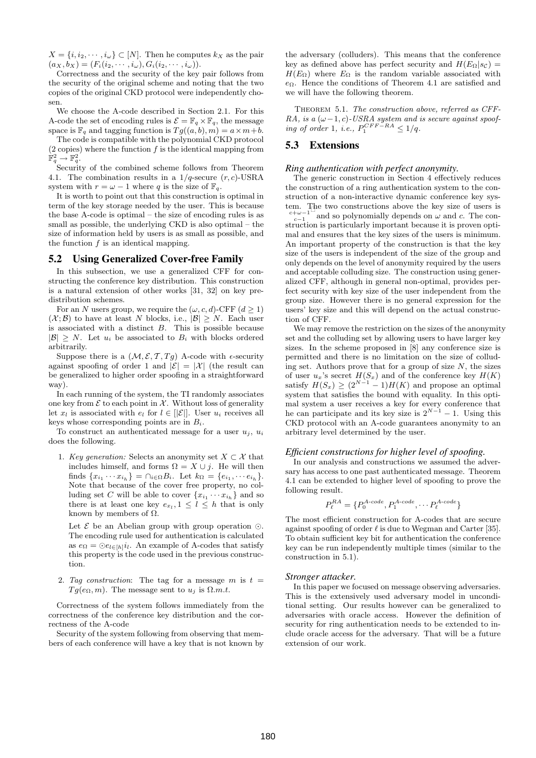$X = \{i, i_2, \dots, i_\omega\} \subset [N]$ . Then he computes  $k_X$  as the pair  $(a_X, b_X) = (F_i(i_2, \dots, i_\omega), G_i(i_2, \dots, i_\omega)).$ 

Correctness and the security of the key pair follows from the security of the original scheme and noting that the two copies of the original CKD protocol were independently chosen.

We choose the A-code described in Section 2.1. For this A-code the set of encoding rules is  $\mathcal{E} = \mathbb{F}_q \times \mathbb{F}_q$ , the message space is  $\mathbb{F}_q$  and tagging function is  $T g((a, b), m) = a \times m + b$ .

The code is compatible with the polynomial CKD protocol  $(2 \text{ copies})$  where the function  $f$  is the identical mapping from  $\mathbb{F}_q^2 \to \mathbb{F}_q^2$ .

Security of the combined scheme follows from Theorem 4.1. The combination results in a  $1/q$ -secure  $(r, c)$ -USRA system with  $r = \omega - 1$  where q is the size of  $\mathbb{F}_q$ .

It is worth to point out that this construction is optimal in term of the key storage needed by the user. This is because the base A-code is optimal – the size of encoding rules is as small as possible, the underlying CKD is also optimal – the size of information held by users is as small as possible, and the function  $f$  is an identical mapping.

#### 5.2 Using Generalized Cover-free Family

In this subsection, we use a generalized CFF for constructing the conference key distribution. This construction is a natural extension of other works [31, 32] on key predistribution schemes.

For an N users group, we require the  $(\omega, c, d)$ -CFF  $(d \ge 1)$  $(\mathcal{X}; \mathcal{B})$  to have at least N blocks, i.e.,  $|\mathcal{B}| \geq N$ . Each user is associated with a distinct  $B$ . This is possible because  $|\mathcal{B}| \geq N$ . Let  $u_i$  be associated to  $B_i$  with blocks ordered arbitrarily.

Suppose there is a  $(\mathcal{M}, \mathcal{E}, \mathcal{T}, Tg)$  A-code with  $\epsilon$ -security against spoofing of order 1 and  $|\mathcal{E}| = |\mathcal{X}|$  (the result can be generalized to higher order spoofing in a straightforward way).

In each running of the system, the TI randomly associates one key from  $\mathcal E$  to each point in  $\mathcal X$ . Without loss of generality let  $x_l$  is associated with  $e_l$  for  $l \in [|\mathcal{E}|]$ . User  $u_i$  receives all keys whose corresponding points are in  $B_i$ .

To construct an authenticated message for a user  $u_i$ ,  $u_i$ does the following.

1. Key generation: Selects an anonymity set  $X \subset \mathcal{X}$  that includes himself, and forms  $\Omega = X \cup j$ . He will then finds  $\{x_{i_1}\cdots x_{i_h}\} = \bigcap_{i\in\Omega} B_i$ . Let  $k_{\Omega} = \{e_{i_1}, \cdots e_{i_h}\}.$ Note that because of the cover free property, no colluding set C will be able to cover  $\{x_{i_1} \cdots x_{i_h}\}\$  and so there is at least one key  $e_{x_l}$ ,  $1 \leq l \leq h$  that is only known by members of  $\Omega$ .

Let  $\mathcal E$  be an Abelian group with group operation  $\odot$ . The encoding rule used for authentication is calculated as  $e_{\Omega} = \bigcirc e_{l \in [h]} i_l$ . An example of A-codes that satisfy this property is the code used in the previous construction.

2. Tag construction: The tag for a message m is  $t =$  $Tg(e_{\Omega}, m)$ . The message sent to  $u_j$  is  $\Omega.m.t.$ 

Correctness of the system follows immediately from the correctness of the conference key distribution and the correctness of the A-code

Security of the system following from observing that members of each conference will have a key that is not known by

the adversary (colluders). This means that the conference key as defined above has perfect security and  $H(E_{\Omega}|s_{\mathcal{C}})$  =  $H(E_{\Omega})$  where  $E_{\Omega}$  is the random variable associated with  $e_{\Omega}$ . Hence the conditions of Theorem 4.1 are satisfied and we will have the following theorem.

THEOREM 5.1. The construction above, referred as CFF-RA, is a  $(\omega-1, c)$ -USRA system and is secure against spoofing of order 1, i.e.,  $P_1^{CFF-RA} \leq 1/q$ .

## 5.3 Extensions

#### *Ring authentication with perfect anonymity.*

The generic construction in Section 4 effectively reduces the construction of a ring authentication system to the construction of a non-interactive dynamic conference key system. The two constructions above the key size of users is  $\frac{c+\omega-1}{c-1}$ The two constructions above the key size of users is<br>and so polynomially depends on  $\omega$  and c. The construction is particularly important because it is proven optimal and ensures that the key sizes of the users is minimum. An important property of the construction is that the key size of the users is independent of the size of the group and only depends on the level of anonymity required by the users and acceptable colluding size. The construction using generalized CFF, although in general non-optimal, provides perfect security with key size of the user independent from the group size. However there is no general expression for the users' key size and this will depend on the actual construction of CFF.

We may remove the restriction on the sizes of the anonymity set and the colluding set by allowing users to have larger key sizes. In the scheme proposed in [8] any conference size is permitted and there is no limitation on the size of colluding set. Authors prove that for a group of size  $N$ , the sizes of user  $u_x$ 's secret  $H(S_x)$  and of the conference key  $H(K)$ satisfy  $H(S_x) \geq (2^{N-1}-1)H(K)$  and propose an optimal system that satisfies the bound with equality. In this optimal system a user receives a key for every conference that he can participate and its key size is  $2^{N-1} - 1$ . Using this CKD protocol with an A-code guarantees anonymity to an arbitrary level determined by the user.

## *Efficient constructions for higher level of spoofing.*

In our analysis and constructions we assumed the adversary has access to one past authenticated message. Theorem 4.1 can be extended to higher level of spoofing to prove the following result.

$$
P_{\ell}^{RA} = \{P_0^{A\text{-}code}, P_1^{A\text{-}code}, \cdots P_{\ell}^{A\text{-}code}\}
$$

The most efficient construction for A-codes that are secure against spoofing of order  $\ell$  is due to Wegman and Carter [35]. To obtain sufficient key bit for authentication the conference key can be run independently multiple times (similar to the construction in 5.1).

#### *Stronger attacker.*

In this paper we focused on message observing adversaries. This is the extensively used adversary model in unconditional setting. Our results however can be generalized to adversaries with oracle access. However the definition of security for ring authentication needs to be extended to include oracle access for the adversary. That will be a future extension of our work.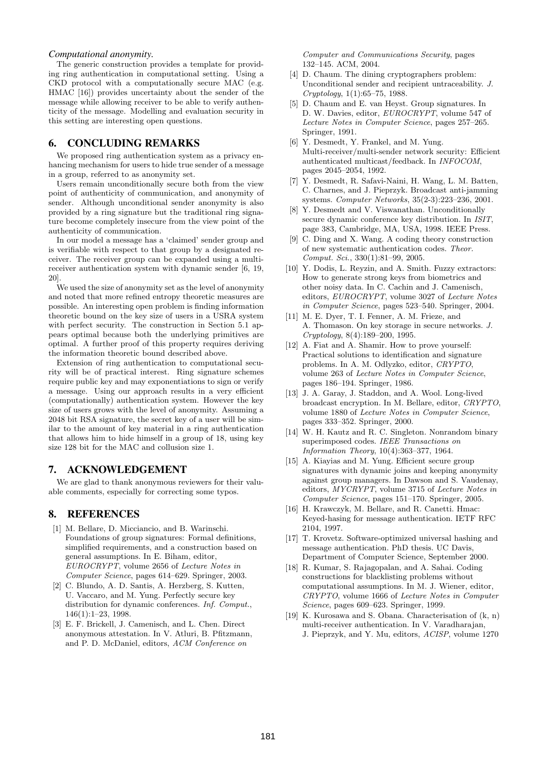#### *Computational anonymity.*

The generic construction provides a template for providing ring authentication in computational setting. Using a CKD protocol with a computationally secure MAC (e.g. HMAC [16]) provides uncertainty about the sender of the message while allowing receiver to be able to verify authenticity of the message. Modelling and evaluation security in this setting are interesting open questions.

## 6. CONCLUDING REMARKS

We proposed ring authentication system as a privacy enhancing mechanism for users to hide true sender of a message in a group, referred to as anonymity set.

Users remain unconditionally secure both from the view point of authenticity of communication, and anonymity of sender. Although unconditional sender anonymity is also provided by a ring signature but the traditional ring signature become completely insecure from the view point of the authenticity of communication.

In our model a message has a 'claimed' sender group and is verifiable with respect to that group by a designated receiver. The receiver group can be expanded using a multireceiver authentication system with dynamic sender [6, 19, 20].

We used the size of anonymity set as the level of anonymity and noted that more refined entropy theoretic measures are possible. An interesting open problem is finding information theoretic bound on the key size of users in a USRA system with perfect security. The construction in Section 5.1 appears optimal because both the underlying primitives are optimal. A further proof of this property requires deriving the information theoretic bound described above.

Extension of ring authentication to computational security will be of practical interest. Ring signature schemes require public key and may exponentiations to sign or verify a message. Using our approach results in a very efficient (computationally) authentication system. However the key size of users grows with the level of anonymity. Assuming a 2048 bit RSA signature, the secret key of a user will be similar to the amount of key material in a ring authentication that allows him to hide himself in a group of 18, using key size 128 bit for the MAC and collusion size 1.

## 7. ACKNOWLEDGEMENT

We are glad to thank anonymous reviewers for their valuable comments, especially for correcting some typos.

## 8. REFERENCES

- [1] M. Bellare, D. Micciancio, and B. Warinschi. Foundations of group signatures: Formal definitions, simplified requirements, and a construction based on general assumptions. In E. Biham, editor, EUROCRYPT, volume 2656 of Lecture Notes in Computer Science, pages 614–629. Springer, 2003.
- [2] C. Blundo, A. D. Santis, A. Herzberg, S. Kutten, U. Vaccaro, and M. Yung. Perfectly secure key distribution for dynamic conferences. Inf. Comput., 146(1):1–23, 1998.
- [3] E. F. Brickell, J. Camenisch, and L. Chen. Direct anonymous attestation. In V. Atluri, B. Pfitzmann, and P. D. McDaniel, editors, ACM Conference on

Computer and Communications Security, pages 132–145. ACM, 2004.

- [4] D. Chaum. The dining cryptographers problem: Unconditional sender and recipient untraceability. J. Cryptology, 1(1):65–75, 1988.
- [5] D. Chaum and E. van Heyst. Group signatures. In D. W. Davies, editor, EUROCRYPT, volume 547 of Lecture Notes in Computer Science, pages 257–265. Springer, 1991.
- [6] Y. Desmedt, Y. Frankel, and M. Yung. Multi-receiver/multi-sender network security: Efficient authenticated multicast/feedback. In INFOCOM, pages 2045–2054, 1992.
- [7] Y. Desmedt, R. Safavi-Naini, H. Wang, L. M. Batten, C. Charnes, and J. Pieprzyk. Broadcast anti-jamming systems. Computer Networks, 35(2-3):223–236, 2001.
- [8] Y. Desmedt and V. Viswanathan. Unconditionally secure dynamic conference key distribution. In ISIT, page 383, Cambridge, MA, USA, 1998. IEEE Press.
- [9] C. Ding and X. Wang. A coding theory construction of new systematic authentication codes. Theor. Comput. Sci., 330(1):81–99, 2005.
- [10] Y. Dodis, L. Reyzin, and A. Smith. Fuzzy extractors: How to generate strong keys from biometrics and other noisy data. In C. Cachin and J. Camenisch, editors, EUROCRYPT, volume 3027 of Lecture Notes in Computer Science, pages 523–540. Springer, 2004.
- [11] M. E. Dyer, T. I. Fenner, A. M. Frieze, and A. Thomason. On key storage in secure networks. J. Cryptology, 8(4):189–200, 1995.
- [12] A. Fiat and A. Shamir. How to prove yourself: Practical solutions to identification and signature problems. In A. M. Odlyzko, editor, CRYPTO, volume 263 of Lecture Notes in Computer Science, pages 186–194. Springer, 1986.
- [13] J. A. Garay, J. Staddon, and A. Wool. Long-lived broadcast encryption. In M. Bellare, editor, CRYPTO, volume 1880 of Lecture Notes in Computer Science, pages 333–352. Springer, 2000.
- [14] W. H. Kautz and R. C. Singleton. Nonrandom binary superimposed codes. IEEE Transactions on Information Theory, 10(4):363–377, 1964.
- [15] A. Kiayias and M. Yung. Efficient secure group signatures with dynamic joins and keeping anonymity against group managers. In Dawson and S. Vaudenay, editors, MYCRYPT, volume 3715 of Lecture Notes in Computer Science, pages 151–170. Springer, 2005.
- [16] H. Krawczyk, M. Bellare, and R. Canetti. Hmac: Keyed-hasing for message authentication. IETF RFC 2104, 1997.
- [17] T. Krovetz. Software-optimized universal hashing and message authentication. PhD thesis. UC Davis, Department of Computer Science, September 2000.
- [18] R. Kumar, S. Rajagopalan, and A. Sahai. Coding constructions for blacklisting problems without computational assumptions. In M. J. Wiener, editor, CRYPTO, volume 1666 of Lecture Notes in Computer Science, pages 609–623. Springer, 1999.
- [19] K. Kurosawa and S. Obana. Characterisation of (k, n) multi-receiver authentication. In V. Varadharajan, J. Pieprzyk, and Y. Mu, editors, ACISP, volume 1270